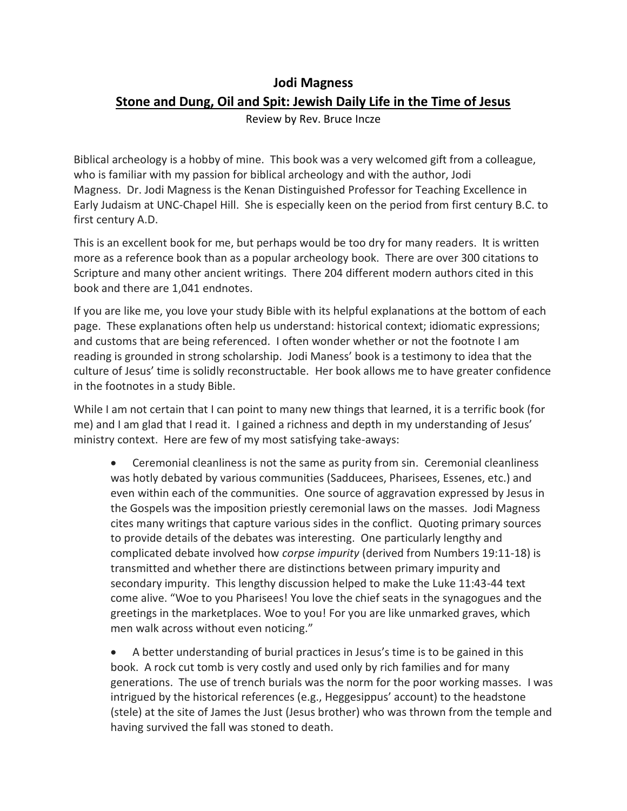## **Jodi Magness**

## **Stone and Dung, Oil and Spit: Jewish Daily Life in the Time of Jesus**

Review by Rev. Bruce Incze

Biblical archeology is a hobby of mine. This book was a very welcomed gift from a colleague, who is familiar with my passion for biblical archeology and with the author, Jodi Magness. Dr. Jodi Magness is the Kenan Distinguished Professor for Teaching Excellence in Early Judaism at UNC-Chapel Hill. She is especially keen on the period from first century B.C. to first century A.D.

This is an excellent book for me, but perhaps would be too dry for many readers. It is written more as a reference book than as a popular archeology book. There are over 300 citations to Scripture and many other ancient writings. There 204 different modern authors cited in this book and there are 1,041 endnotes.

If you are like me, you love your study Bible with its helpful explanations at the bottom of each page. These explanations often help us understand: historical context; idiomatic expressions; and customs that are being referenced. I often wonder whether or not the footnote I am reading is grounded in strong scholarship. Jodi Maness' book is a testimony to idea that the culture of Jesus' time is solidly reconstructable. Her book allows me to have greater confidence in the footnotes in a study Bible.

While I am not certain that I can point to many new things that learned, it is a terrific book (for me) and I am glad that I read it. I gained a richness and depth in my understanding of Jesus' ministry context. Here are few of my most satisfying take-aways:

• Ceremonial cleanliness is not the same as purity from sin. Ceremonial cleanliness was hotly debated by various communities (Sadducees, Pharisees, Essenes, etc.) and even within each of the communities. One source of aggravation expressed by Jesus in the Gospels was the imposition priestly ceremonial laws on the masses. Jodi Magness cites many writings that capture various sides in the conflict. Quoting primary sources to provide details of the debates was interesting. One particularly lengthy and complicated debate involved how *corpse impurity* (derived from Numbers 19:11-18) is transmitted and whether there are distinctions between primary impurity and secondary impurity. This lengthy discussion helped to make the Luke 11:43-44 text come alive. "Woe to you Pharisees! You love the chief seats in the synagogues and the greetings in the marketplaces. Woe to you! For you are like unmarked graves, which men walk across without even noticing."

• A better understanding of burial practices in Jesus's time is to be gained in this book. A rock cut tomb is very costly and used only by rich families and for many generations. The use of trench burials was the norm for the poor working masses. I was intrigued by the historical references (e.g., Heggesippus' account) to the headstone (stele) at the site of James the Just (Jesus brother) who was thrown from the temple and having survived the fall was stoned to death.